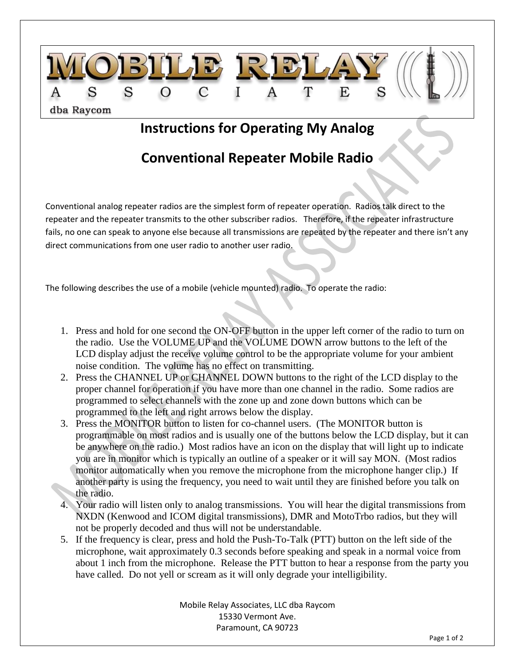

## **Instructions for Operating My Analog**

## **Conventional Repeater Mobile Radio**

Conventional analog repeater radios are the simplest form of repeater operation. Radios talk direct to the repeater and the repeater transmits to the other subscriber radios. Therefore, if the repeater infrastructure fails, no one can speak to anyone else because all transmissions are repeated by the repeater and there isn't any direct communications from one user radio to another user radio.

The following describes the use of a mobile (vehicle mounted) radio. To operate the radio:

- 1. Press and hold for one second the ON-OFF button in the upper left corner of the radio to turn on the radio. Use the VOLUME UP and the VOLUME DOWN arrow buttons to the left of the LCD display adjust the receive volume control to be the appropriate volume for your ambient noise condition. The volume has no effect on transmitting.
- 2. Press the CHANNEL UP or CHANNEL DOWN buttons to the right of the LCD display to the proper channel for operation if you have more than one channel in the radio. Some radios are programmed to select channels with the zone up and zone down buttons which can be programmed to the left and right arrows below the display.
- 3. Press the MONITOR button to listen for co-channel users. (The MONITOR button is programmable on most radios and is usually one of the buttons below the LCD display, but it can be anywhere on the radio.) Most radios have an icon on the display that will light up to indicate you are in monitor which is typically an outline of a speaker or it will say MON. (Most radios monitor automatically when you remove the microphone from the microphone hanger clip.) If another party is using the frequency, you need to wait until they are finished before you talk on the radio.
- 4. Your radio will listen only to analog transmissions. You will hear the digital transmissions from NXDN (Kenwood and ICOM digital transmissions), DMR and MotoTrbo radios, but they will not be properly decoded and thus will not be understandable.
- 5. If the frequency is clear, press and hold the Push-To-Talk (PTT) button on the left side of the microphone, wait approximately 0.3 seconds before speaking and speak in a normal voice from about 1 inch from the microphone. Release the PTT button to hear a response from the party you have called. Do not yell or scream as it will only degrade your intelligibility.

Mobile Relay Associates, LLC dba Raycom 15330 Vermont Ave. Paramount, CA 90723